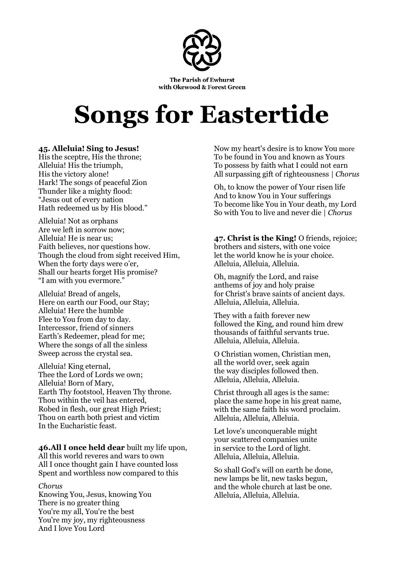

**The Parish of Ewhurst** with Okewood & Forest Green

# **Songs for Eastertide**

## **45. Alleluia! Sing to Jesus!**

His the sceptre, His the throne; Alleluia! His the triumph, His the victory alone! Hark! The songs of peaceful Zion Thunder like a mighty flood: "Jesus out of every nation Hath redeemed us by His blood."

Alleluia! Not as orphans Are we left in sorrow now; Alleluia! He is near us; Faith believes, nor questions how. Though the cloud from sight received Him, When the forty days were o'er, Shall our hearts forget His promise? "I am with you evermore."

Alleluia! Bread of angels, Here on earth our Food, our Stay; Alleluia! Here the humble Flee to You from day to day. Intercessor, friend of sinners Earth's Redeemer, plead for me; Where the songs of all the sinless Sweep across the crystal sea.

Alleluia! King eternal, Thee the Lord of Lords we own; Alleluia! Born of Mary, Earth Thy footstool, Heaven Thy throne. Thou within the veil has entered, Robed in flesh, our great High Priest; Thou on earth both priest and victim In the Eucharistic feast.

# **46.All I once held dear** built my life upon,

All this world reveres and wars to own All I once thought gain I have counted loss Spent and worthless now compared to this

## *Chorus*

Knowing You, Jesus, knowing You There is no greater thing You're my all, You're the best You're my joy, my righteousness And I love You Lord

Now my heart's desire is to know You more To be found in You and known as Yours To possess by faith what I could not earn All surpassing gift of righteousness | *Chorus*

Oh, to know the power of Your risen life And to know You in Your sufferings To become like You in Your death, my Lord So with You to live and never die | *Chorus*

**47. Christ is the King!** O friends, rejoice; brothers and sisters, with one voice let the world know he is your choice. Alleluia, Alleluia, Alleluia.

Oh, magnify the Lord, and raise anthems of joy and holy praise for Christ's brave saints of ancient days. Alleluia, Alleluia, Alleluia.

They with a faith forever new followed the King, and round him drew thousands of faithful servants true. Alleluia, Alleluia, Alleluia.

O Christian women, Christian men, all the world over, seek again the way disciples followed then. Alleluia, Alleluia, Alleluia.

Christ through all ages is the same: place the same hope in his great name, with the same faith his word proclaim. Alleluia, Alleluia, Alleluia.

Let love's unconquerable might your scattered companies unite in service to the Lord of light. Alleluia, Alleluia, Alleluia.

So shall God's will on earth be done, new lamps be lit, new tasks begun, and the whole church at last be one. Alleluia, Alleluia, Alleluia.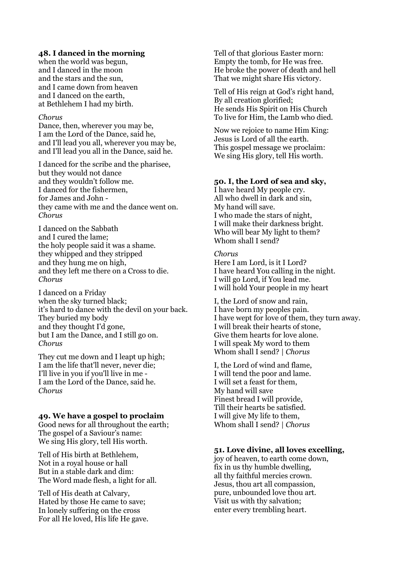## **48. I danced in the morning**

when the world was begun, and I danced in the moon and the stars and the sun, and I came down from heaven and I danced on the earth, at Bethlehem I had my birth.

## *Chorus*

Dance, then, wherever you may be, I am the Lord of the Dance, said he, and I'll lead you all, wherever you may be, and I'll lead you all in the Dance, said he.

I danced for the scribe and the pharisee, but they would not dance and they wouldn't follow me. I danced for the fishermen, for James and John they came with me and the dance went on. *Chorus*

I danced on the Sabbath and I cured the lame; the holy people said it was a shame. they whipped and they stripped and they hung me on high, and they left me there on a Cross to die. *Chorus*

I danced on a Friday when the sky turned black; it's hard to dance with the devil on your back. They buried my body and they thought I'd gone, but I am the Dance, and I still go on. *Chorus*

They cut me down and I leapt up high; I am the life that'll never, never die; I'll live in you if you'll live in me - I am the Lord of the Dance, said he. *Chorus*

## **49. We have a gospel to proclaim**

Good news for all throughout the earth; The gospel of a Saviour's name: We sing His glory, tell His worth.

Tell of His birth at Bethlehem, Not in a royal house or hall But in a stable dark and dim: The Word made flesh, a light for all.

Tell of His death at Calvary, Hated by those He came to save; In lonely suffering on the cross For all He loved, His life He gave. Tell of that glorious Easter morn: Empty the tomb, for He was free. He broke the power of death and hell That we might share His victory.

Tell of His reign at God's right hand, By all creation glorified; He sends His Spirit on His Church To live for Him, the Lamb who died.

Now we rejoice to name Him King: Jesus is Lord of all the earth. This gospel message we proclaim: We sing His glory, tell His worth.

## **50. I, the Lord of sea and sky,**

I have heard My people cry. All who dwell in dark and sin, My hand will save. I who made the stars of night, I will make their darkness bright. Who will bear My light to them? Whom shall I send?

## *Chorus*

Here I am Lord, is it I Lord? I have heard You calling in the night. I will go Lord, if You lead me. I will hold Your people in my heart

I, the Lord of snow and rain, I have born my peoples pain. I have wept for love of them, they turn away. I will break their hearts of stone, Give them hearts for love alone. I will speak My word to them Whom shall I send? | *Chorus*

I, the Lord of wind and flame, I will tend the poor and lame. I will set a feast for them, My hand will save Finest bread I will provide, Till their hearts be satisfied. I will give My life to them, Whom shall I send? | *Chorus*

## **51. Love divine, all loves excelling,**

joy of heaven, to earth come down, fix in us thy humble dwelling, all thy faithful mercies crown. Jesus, thou art all compassion, pure, unbounded love thou art. Visit us with thy salvation; enter every trembling heart.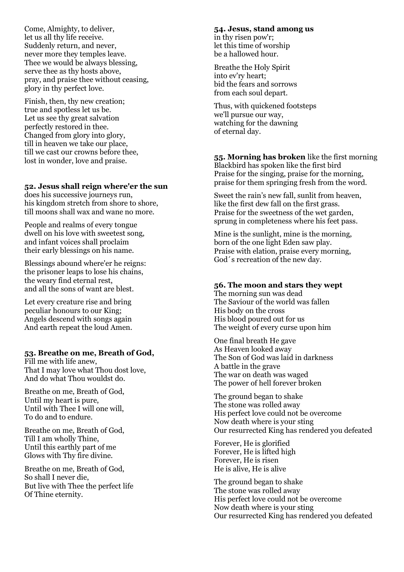Come, Almighty, to deliver, let us all thy life receive. Suddenly return, and never, never more they temples leave. Thee we would be always blessing, serve thee as thy hosts above, pray, and praise thee without ceasing, glory in thy perfect love.

Finish, then, thy new creation; true and spotless let us be. Let us see thy great salvation perfectly restored in thee. Changed from glory into glory, till in heaven we take our place, till we cast our crowns before thee, lost in wonder, love and praise.

## **52. Jesus shall reign where'er the sun**

does his successive journeys run, his kingdom stretch from shore to shore, till moons shall wax and wane no more.

People and realms of every tongue dwell on his love with sweetest song, and infant voices shall proclaim their early blessings on his name.

Blessings abound where'er he reigns: the prisoner leaps to lose his chains, the weary find eternal rest, and all the sons of want are blest.

Let every creature rise and bring peculiar honours to our King; Angels descend with songs again And earth repeat the loud Amen.

## **53. Breathe on me, Breath of God,**

Fill me with life anew, That I may love what Thou dost love, And do what Thou wouldst do.

Breathe on me, Breath of God, Until my heart is pure, Until with Thee I will one will, To do and to endure.

Breathe on me, Breath of God, Till I am wholly Thine, Until this earthly part of me Glows with Thy fire divine.

Breathe on me, Breath of God, So shall I never die, But live with Thee the perfect life Of Thine eternity.

# **54. Jesus, stand among us**

in thy risen pow'r; let this time of worship be a hallowed hour.

Breathe the Holy Spirit into ev'ry heart; bid the fears and sorrows from each soul depart.

Thus, with quickened footsteps we'll pursue our way, watching for the dawning of eternal day.

**55. Morning has broken** like the first morning Blackbird has spoken like the first bird Praise for the singing, praise for the morning, praise for them springing fresh from the word.

Sweet the rain's new fall, sunlit from heaven, like the first dew fall on the first grass. Praise for the sweetness of the wet garden, sprung in completeness where his feet pass.

Mine is the sunlight, mine is the morning, born of the one light Eden saw play. Praise with elation, praise every morning, God´s recreation of the new day.

## **56. The moon and stars they wept**

The morning sun was dead The Saviour of the world was fallen His body on the cross His blood poured out for us The weight of every curse upon him

One final breath He gave As Heaven looked away The Son of God was laid in darkness A battle in the grave The war on death was waged The power of hell forever broken

The ground began to shake The stone was rolled away His perfect love could not be overcome Now death where is your sting Our resurrected King has rendered you defeated

Forever, He is glorified Forever, He is lifted high Forever, He is risen He is alive, He is alive

The ground began to shake The stone was rolled away His perfect love could not be overcome Now death where is your sting Our resurrected King has rendered you defeated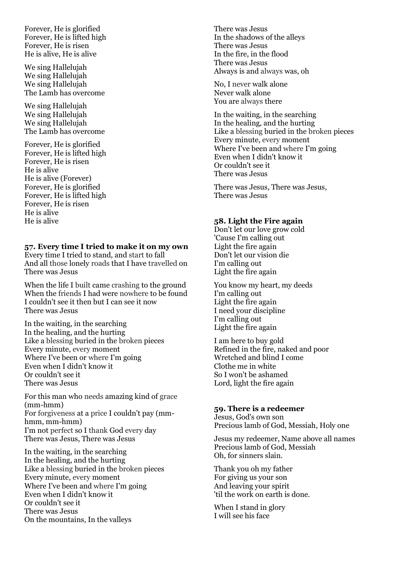Forever, He is glorified Forever, He is lifted high Forever, He is risen He is alive, He is alive

We sing Hallelujah We sing Hallelujah We sing Hallelujah The Lamb has overcome

We sing Hallelujah We sing Hallelujah We sing Hallelujah The Lamb has overcome

Forever, He is glorified Forever, He is lifted high Forever, He is risen He is alive He is alive (Forever) Forever, He is glorified Forever, He is lifted high Forever, He is risen He is alive He is alive

## **57. Every time I tried to make it on my own**

Every time I tried to stand, and [start](https://www.definitions.net/definition/start) to fall And all [those](https://www.definitions.net/definition/those) lonely [roads](https://www.definitions.net/definition/roads) that I hav[e travelled](https://www.definitions.net/definition/traveled) on There was Jesus

When the life [I built](https://www.definitions.net/definition/built) came [crashing](https://www.definitions.net/definition/crashing) to the ground When the [friends](https://www.definitions.net/definition/friends) I had were [nowhere](https://www.definitions.net/definition/nowhere) to be found I couldn't see it then but I can see it now There was Jesus

In the waiting, in the searching In the healing, and the hurting Like a [blessing](https://www.definitions.net/definition/blessing) buried in the [broken](https://www.definitions.net/definition/broken) pieces Every minute, [every](https://www.definitions.net/definition/every) moment Where I've been or [where](https://www.definitions.net/definition/where) I'm going Even when I didn't know it Or couldn't see it There was Jesus

For this man who [needs](https://www.definitions.net/definition/needs) amazing kind of [grace](https://www.definitions.net/definition/grace) (mm-hmm) Fo[r forgiveness](https://www.definitions.net/definition/forgiveness) at [a price](https://www.definitions.net/definition/price) I couldn't pay (mmhmm, mm-hmm) I'm not [perfect](https://www.definitions.net/definition/perfect) so [I thank](https://www.definitions.net/definition/thank) God [every](https://www.definitions.net/definition/every) day There was Jesus, There was Jesus

In the waiting, in the searching In the healing, and the hurting Like a [blessing](https://www.definitions.net/definition/blessing) buried in the [broken](https://www.definitions.net/definition/broken) pieces Every minute, [every](https://www.definitions.net/definition/every) moment Where I've been and [where](https://www.definitions.net/definition/where) I'm going Even when I didn't know it Or couldn't see it There was Jesus On the mountains, In the valleys

There was Jesus In the shadows of the alleys There was Jesus In the fire, in the flood There was Jesus Always is and [always](https://www.definitions.net/definition/always) was, oh

No, I [never](https://www.definitions.net/definition/never) walk alone Never walk alone You are [always](https://www.definitions.net/definition/always) there

In the waiting, in the searching In the healing, and the hurting Like [a blessing](https://www.definitions.net/definition/blessing) buried in th[e broken](https://www.definitions.net/definition/broken) pieces Every minute, [every](https://www.definitions.net/definition/every) moment Where I've been and [where](https://www.definitions.net/definition/where) I'm going Even when I didn't know it Or couldn't see it There was Jesus

There was Jesus, There was Jesus, There was Jesus

## **58. Light the Fire again**

Don't let our love grow cold 'Cause I'm calling out Light the fire again Don't let our vision die I'm calling out Light the fire again

You know my heart, my deeds I'm calling out Light the fire again I need your discipline I'm calling out Light the fire again

I am here to buy gold Refined in the fire, naked and poor Wretched and blind I come Clothe me in white So I won't be ashamed Lord, light the fire again

# **59. There is a redeemer**

Jesus, God's own son Precious lamb of God, Messiah, Holy one

Jesus my redeemer, Name above all names Precious lamb of God, Messiah Oh, for sinners slain.

Thank you oh my father For giving us your son And leaving your spirit 'til the work on earth is done.

When I stand in glory I will see his face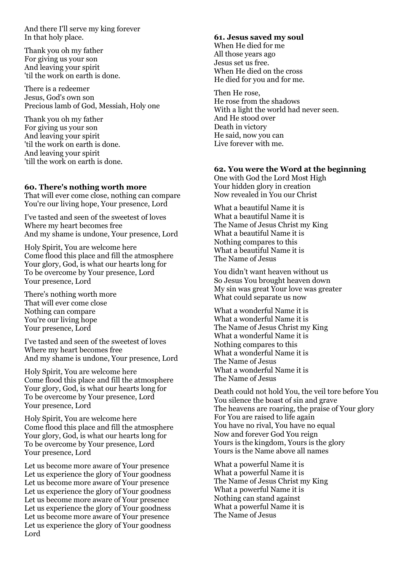And there I'll serve my king forever In that holy place.

Thank you oh my father For giving us your son And leaving your spirit 'til the work on earth is done.

There is a redeemer Jesus, God's own son Precious lamb of God, Messiah, Holy one

Thank you oh my father For giving us your son And leaving your spirit 'til the work on earth is done. And leaving your spirit 'till the work on earth is done.

#### **60. There's nothing worth more**

That will ever come close, nothing can compare You're our living hope, Your presence, Lord

I've tasted and seen of the sweetest of loves Where my heart becomes free And my shame is undone, Your presence, Lord

Holy Spirit, You are welcome here Come flood this place and fill the atmosphere Your glory, God, is what our hearts long for To be overcome by Your presence, Lord Your presence, Lord

There's nothing worth more That will ever come close Nothing can compare You're our living hope Your presence, Lord

I've tasted and seen of the sweetest of loves Where my heart becomes free And my shame is undone, Your presence, Lord

Holy Spirit, You are welcome here Come flood this place and fill the atmosphere Your glory, God, is what our hearts long for To be overcome by Your presence, Lord Your presence, Lord

Holy Spirit, You are welcome here Come flood this place and fill the atmosphere Your glory, God, is what our hearts long for To be overcome by Your presence, Lord Your presence, Lord

Let us become more aware of Your presence Let us experience the glory of Your goodness Let us become more aware of Your presence Let us experience the glory of Your goodness Let us become more aware of Your presence Let us experience the glory of Your goodness Let us become more aware of Your presence Let us experience the glory of Your goodness Lord

## **61. Jesus saved my soul**

When He died for me All those years ago Jesus set us free. When He died on the cross He died for you and for me.

Then He rose, He rose from the shadows With a light the world had never seen. And He stood over Death in victory He said, now you can Live forever with me.

#### **62. You were the Word at the beginning**

One with God the Lord Most High Your hidden glory in creation Now revealed in You our Christ

What a beautiful Name it is What a beautiful Name it is The Name of Jesus Christ my King What a beautiful Name it is Nothing compares to this What a beautiful Name it is The Name of Jesus

You didn't want heaven without us So Jesus You brought heaven down My sin was great Your love was greater What could separate us now

What a wonderful Name it is What a wonderful Name it is The Name of Jesus Christ my King What a wonderful Name it is Nothing compares to this What a wonderful Name it is The Name of Jesus What a wonderful Name it is The Name of Jesus

Death could not hold You, the veil tore before You You silence the boast of sin and grave The heavens are roaring, the praise of Your glory For You are raised to life again You have no rival, You have no equal Now and forever God You reign Yours is the kingdom, Yours is the glory Yours is the Name above all names

What a powerful Name it is What a powerful Name it is The Name of Jesus Christ my King What a powerful Name it is Nothing can stand against What a powerful Name it is The Name of Jesus